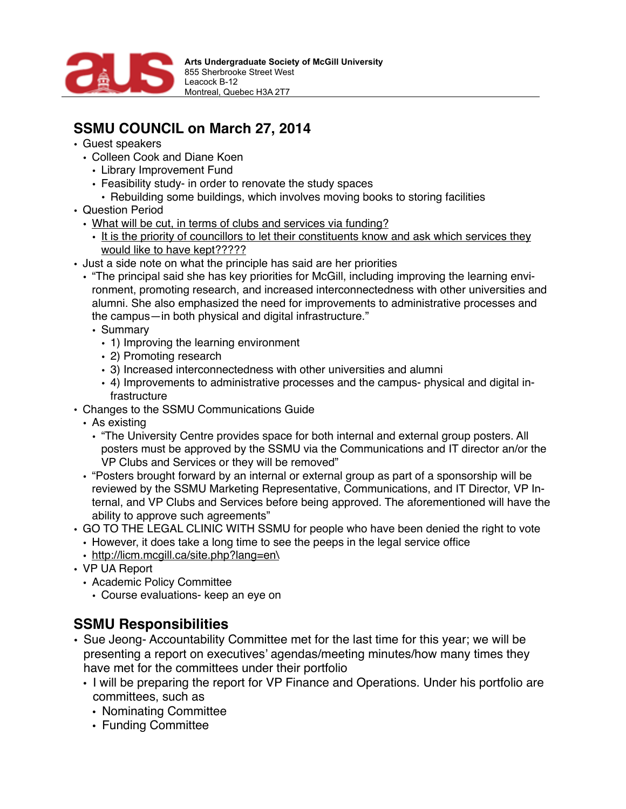

## **SSMU COUNCIL on March 27, 2014**

- Guest speakers
	- Colleen Cook and Diane Koen
		- Library Improvement Fund
		- Feasibility study- in order to renovate the study spaces
			- Rebuilding some buildings, which involves moving books to storing facilities
- Question Period
	- What will be cut, in terms of clubs and services via funding?
		- It is the priority of councillors to let their constituents know and ask which services they would like to have kept?????
- Just a side note on what the principle has said are her priorities
	- "The principal said she has key priorities for McGill, including improving the learning environment, promoting research, and increased interconnectedness with other universities and alumni. She also emphasized the need for improvements to administrative processes and the campus—in both physical and digital infrastructure."
		- Summary
			- 1) Improving the learning environment
			- 2) Promoting research
			- 3) Increased interconnectedness with other universities and alumni
			- 4) Improvements to administrative processes and the campus- physical and digital infrastructure
- Changes to the SSMU Communications Guide
	- As existing
		- "The University Centre provides space for both internal and external group posters. All posters must be approved by the SSMU via the Communications and IT director an/or the VP Clubs and Services or they will be removed"
	- "Posters brought forward by an internal or external group as part of a sponsorship will be reviewed by the SSMU Marketing Representative, Communications, and IT Director, VP Internal, and VP Clubs and Services before being approved. The aforementioned will have the ability to approve such agreements"
- GO TO THE LEGAL CLINIC WITH SSMU for people who have been denied the right to vote
	- However, it does take a long time to see the peeps in the legal service office
	- [http://licm.mcgill.ca/site.php?lang=en\](http://licm.mcgill.ca/site.php?lang=en%5C)
- VP UA Report
	- Academic Policy Committee
		- Course evaluations- keep an eye on

## **SSMU Responsibilities**

- Sue Jeong- Accountability Committee met for the last time for this year; we will be presenting a report on executives' agendas/meeting minutes/how many times they have met for the committees under their portfolio
	- I will be preparing the report for VP Finance and Operations. Under his portfolio are committees, such as
		- Nominating Committee
		- Funding Committee